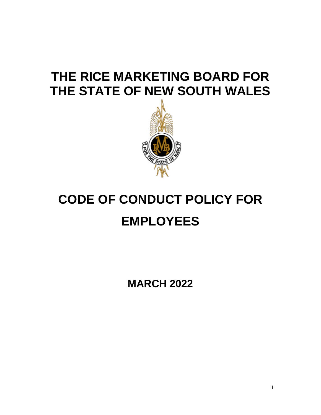# **THE RICE MARKETING BOARD FOR THE STATE OF NEW SOUTH WALES**



# **CODE OF CONDUCT POLICY FOR EMPLOYEES**

**MARCH 2022**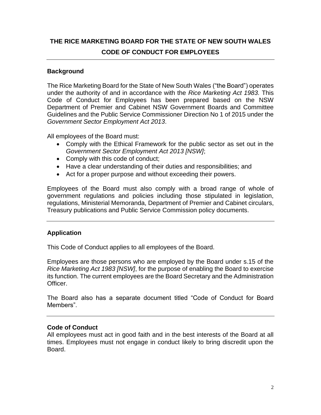# **THE RICE MARKETING BOARD FOR THE STATE OF NEW SOUTH WALES CODE OF CONDUCT FOR EMPLOYEES**

#### **Background**

The Rice Marketing Board for the State of New South Wales ("the Board") operates under the authority of and in accordance with the *Rice Marketing Act 1983.* This Code of Conduct for Employees has been prepared based on the NSW Department of Premier and Cabinet NSW Government Boards and Committee Guidelines and the Public Service Commissioner Direction No 1 of 2015 under the *Government Sector Employment Act 2013*.

All employees of the Board must:

- Comply with the Ethical Framework for the public sector as set out in the *Government Sector Employment Act 2013 [NSW]*;
- Comply with this code of conduct;
- Have a clear understanding of their duties and responsibilities; and
- Act for a proper purpose and without exceeding their powers.

Employees of the Board must also comply with a broad range of whole of government regulations and policies including those stipulated in legislation, regulations, Ministerial Memoranda, Department of Premier and Cabinet circulars, Treasury publications and Public Service Commission policy documents.

#### **Application**

This Code of Conduct applies to all employees of the Board.

Employees are those persons who are employed by the Board under s.15 of the *Rice Marketing Act 1983 [NSW]*, for the purpose of enabling the Board to exercise its function. The current employees are the Board Secretary and the Administration Officer.

The Board also has a separate document titled "Code of Conduct for Board Members".

#### **Code of Conduct**

All employees must act in good faith and in the best interests of the Board at all times. Employees must not engage in conduct likely to bring discredit upon the Board.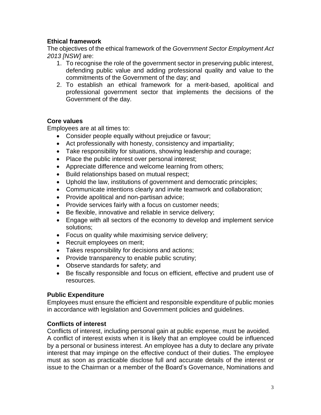#### **Ethical framework**

The objectives of the ethical framework of the *Government Sector Employment Act 2013 [NSW]* are:

- 1. To recognise the role of the government sector in preserving public interest, defending public value and adding professional quality and value to the commitments of the Government of the day; and
- 2. To establish an ethical framework for a merit-based, apolitical and professional government sector that implements the decisions of the Government of the day.

#### **Core values**

Employees are at all times to:

- Consider people equally without prejudice or favour;
- Act professionally with honesty, consistency and impartiality;
- Take responsibility for situations, showing leadership and courage;
- Place the public interest over personal interest;
- Appreciate difference and welcome learning from others;
- Build relationships based on mutual respect;
- Uphold the law, institutions of government and democratic principles;
- Communicate intentions clearly and invite teamwork and collaboration;
- Provide apolitical and non-partisan advice;
- Provide services fairly with a focus on customer needs;
- Be flexible, innovative and reliable in service delivery;
- Engage with all sectors of the economy to develop and implement service solutions;
- Focus on quality while maximising service delivery;
- Recruit employees on merit;
- Takes responsibility for decisions and actions;
- Provide transparency to enable public scrutiny;
- Observe standards for safety; and
- Be fiscally responsible and focus on efficient, effective and prudent use of resources.

#### **Public Expenditure**

Employees must ensure the efficient and responsible expenditure of public monies in accordance with legislation and Government policies and guidelines.

#### **Conflicts of interest**

Conflicts of interest, including personal gain at public expense, must be avoided. A conflict of interest exists when it is likely that an employee could be influenced by a personal or business interest. An employee has a duty to declare any private interest that may impinge on the effective conduct of their duties. The employee must as soon as practicable disclose full and accurate details of the interest or issue to the Chairman or a member of the Board's Governance, Nominations and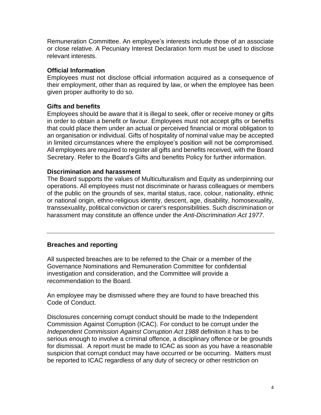Remuneration Committee. An employee's interests include those of an associate or close relative. A Pecuniary Interest Declaration form must be used to disclose relevant interests.

#### **Official Information**

Employees must not disclose official information acquired as a consequence of their employment, other than as required by law, or when the employee has been given proper authority to do so.

#### **Gifts and benefits**

Employees should be aware that it is illegal to seek, offer or receive money or gifts in order to obtain a benefit or favour. Employees must not accept gifts or benefits that could place them under an actual or perceived financial or moral obligation to an organisation or individual. Gifts of hospitality of nominal value may be accepted in limited circumstances where the employee's position will not be compromised. All employees are required to register all gifts and benefits received, with the Board Secretary. Refer to the Board's Gifts and benefits Policy for further information.

#### **Discrimination and harassment**

The Board supports the values of Multiculturalism and Equity as underpinning our operations. All employees must not discriminate or harass colleagues or members of the public on the grounds of sex, marital status, race, colour, nationality, ethnic or national origin, ethno-religious identity, descent, age, disability, homosexuality, transsexuality, political conviction or carer's responsibilities. Such discrimination or harassment may constitute an offence under the *Anti-Discrimination Act 1977*.

#### **Breaches and reporting**

All suspected breaches are to be referred to the Chair or a member of the Governance Nominations and Remuneration Committee for confidential investigation and consideration, and the Committee will provide a recommendation to the Board.

An employee may be dismissed where they are found to have breached this Code of Conduct.

Disclosures concerning corrupt conduct should be made to the Independent Commission Against Corruption (ICAC). For conduct to be corrupt under the *Independent Commission Against Corruption Act 1988* definition it has to be serious enough to involve a criminal offence, a disciplinary offence or be grounds for dismissal. A report must be made to ICAC as soon as you have a reasonable suspicion that corrupt conduct may have occurred or be occurring. Matters must be reported to ICAC regardless of any duty of secrecy or other restriction on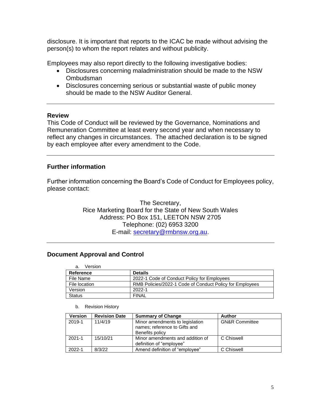disclosure. It is important that reports to the ICAC be made without advising the person(s) to whom the report relates and without publicity.

Employees may also report directly to the following investigative bodies:

- Disclosures concerning maladministration should be made to the NSW Ombudsman
- Disclosures concerning serious or substantial waste of public money should be made to the NSW Auditor General.

#### **Review**

This Code of Conduct will be reviewed by the Governance, Nominations and Remuneration Committee at least every second year and when necessary to reflect any changes in circumstances. The attached declaration is to be signed by each employee after every amendment to the Code.

#### **Further information**

Further information concerning the Board's Code of Conduct for Employees policy, please contact:

> The Secretary, Rice Marketing Board for the State of New South Wales Address: PO Box 151, LEETON NSW 2705 Telephone: (02) 6953 3200 E-mail: [secretary@rmbnsw.org.au.](mailto:secretary@rmbnsw.org.au)

#### **Document Approval and Control**

| Version<br>а. |                                                          |
|---------------|----------------------------------------------------------|
| Reference     | <b>Details</b>                                           |
| File Name     | 2022-1 Code of Conduct Policy for Employees              |
| File location | RMB Policies/2022-1 Code of Conduct Policy for Employees |
| Version       | $2022 - 1$                                               |
| <b>Status</b> | <b>FINAL</b>                                             |

#### b. Revision History

| <b>Version</b> | <b>Revision Date</b> | <b>Summary of Change</b>                                                            | Author                    |
|----------------|----------------------|-------------------------------------------------------------------------------------|---------------------------|
| 2019-1         | 11/4/19              | Minor amendments to legislation<br>names; reference to Gifts and<br>Benefits policy | <b>GN&amp;R Committee</b> |
| $2021 - 1$     | 15/10/21             | Minor amendments and addition of<br>definition of "emplovee"                        | C Chiswell                |
| $2022 - 1$     | 8/3/22               | Amend definition of "emplovee"                                                      | C Chiswell                |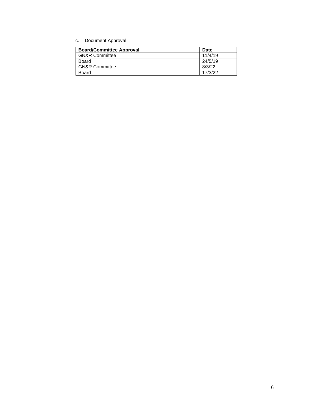c. Document Approval

| <b>Board/Committee Approval</b> | Date    |
|---------------------------------|---------|
| <b>GN&amp;R Committee</b>       | 11/4/19 |
| Board                           | 24/5/19 |
| <b>GN&amp;R Committee</b>       | 8/3/22  |
| Board                           | 17/3/22 |